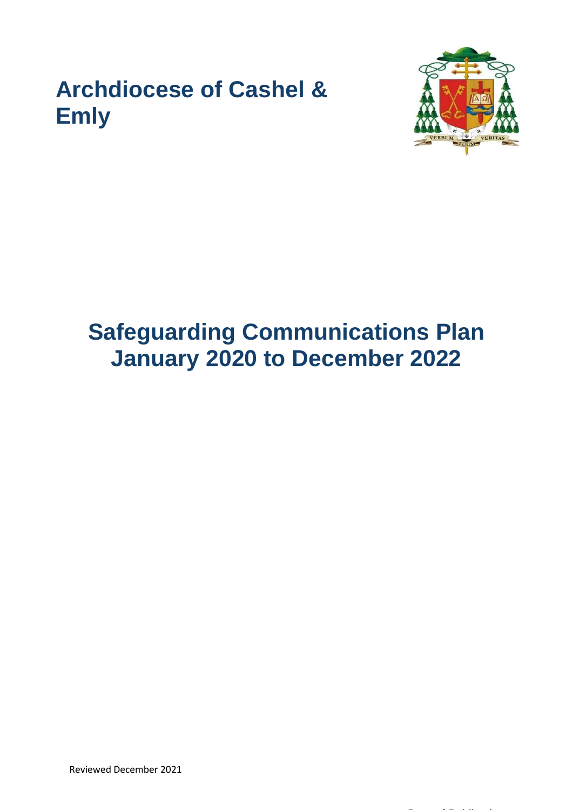## **Archdiocese of Cashel & Emly**



## **Safeguarding Communications Plan January 2020 to December 2022**

Reviewed December 2021

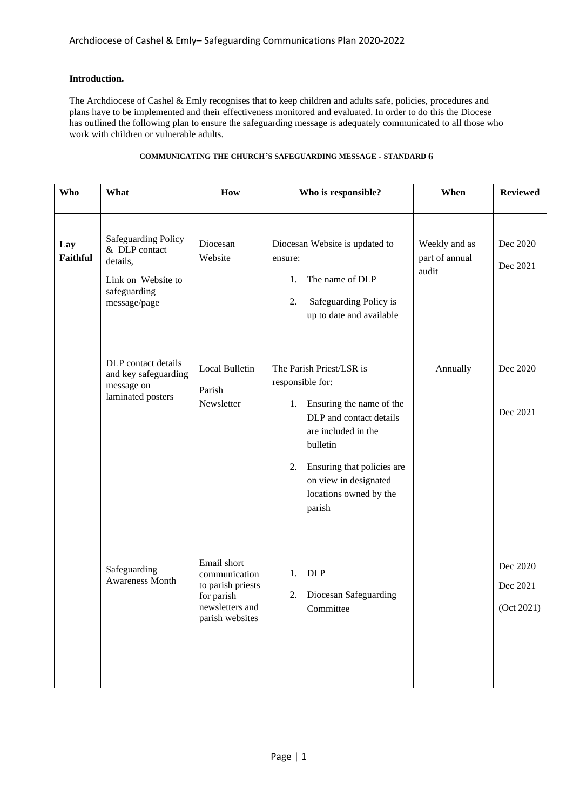## **Introduction.**

The Archdiocese of Cashel & Emly recognises that to keep children and adults safe, policies, procedures and plans have to be implemented and their effectiveness monitored and evaluated. In order to do this the Diocese has outlined the following plan to ensure the safeguarding message is adequately communicated to all those who work with children or vulnerable adults.

| Who                    | What                                                                                                          | How                                                                                                   | Who is responsible?                                                                                                                                                                                                                           | When                                     | <b>Reviewed</b>                    |
|------------------------|---------------------------------------------------------------------------------------------------------------|-------------------------------------------------------------------------------------------------------|-----------------------------------------------------------------------------------------------------------------------------------------------------------------------------------------------------------------------------------------------|------------------------------------------|------------------------------------|
| Lay<br><b>Faithful</b> | <b>Safeguarding Policy</b><br>& DLP contact<br>details,<br>Link on Website to<br>safeguarding<br>message/page | Diocesan<br>Website                                                                                   | Diocesan Website is updated to<br>ensure:<br>The name of DLP<br>1.<br>2.<br>Safeguarding Policy is<br>up to date and available                                                                                                                | Weekly and as<br>part of annual<br>audit | Dec 2020<br>Dec 2021               |
|                        | DLP contact details<br>and key safeguarding<br>message on<br>laminated posters                                | <b>Local Bulletin</b><br>Parish<br>Newsletter                                                         | The Parish Priest/LSR is<br>responsible for:<br>Ensuring the name of the<br>1.<br>DLP and contact details<br>are included in the<br>bulletin<br>Ensuring that policies are<br>2.<br>on view in designated<br>locations owned by the<br>parish | Annually                                 | Dec 2020<br>Dec 2021               |
|                        | Safeguarding<br>Awareness Month                                                                               | Email short<br>communication<br>to parish priests<br>for parish<br>newsletters and<br>parish websites | <b>DLP</b><br>1.<br>Diocesan Safeguarding<br>2.<br>Committee                                                                                                                                                                                  |                                          | Dec 2020<br>Dec 2021<br>(Oct 2021) |

## **COMMUNICATING THE CHURCH'S SAFEGUARDING MESSAGE - STANDARD 6**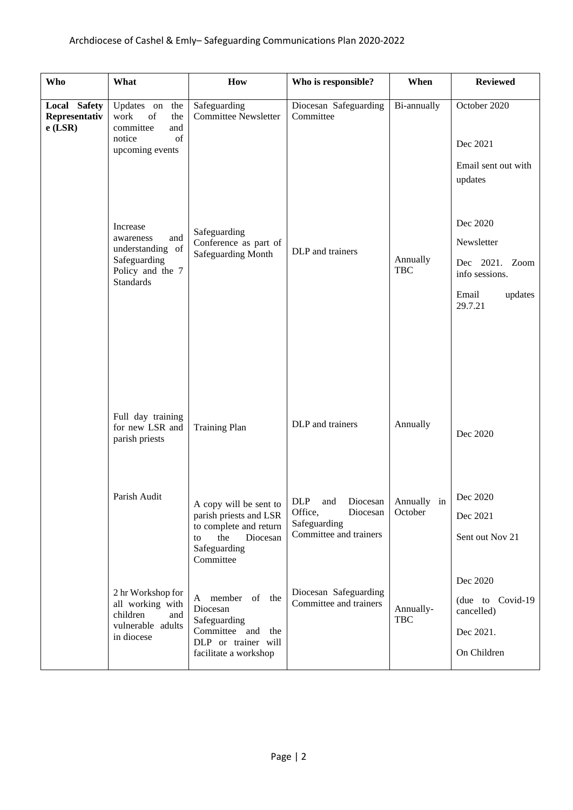| Who                                        | What                                                                                                                                                                                                      | How                                                                                                                                                                                                 | Who is responsible?                                                                       | When                                  | <b>Reviewed</b>                                                                                                                                         |  |
|--------------------------------------------|-----------------------------------------------------------------------------------------------------------------------------------------------------------------------------------------------------------|-----------------------------------------------------------------------------------------------------------------------------------------------------------------------------------------------------|-------------------------------------------------------------------------------------------|---------------------------------------|---------------------------------------------------------------------------------------------------------------------------------------------------------|--|
| Local Safety<br>Representativ<br>$e$ (LSR) | Updates on<br>the<br>work<br>of<br>the<br>committee<br>and<br>of<br>notice<br>upcoming events<br>Increase<br>and<br>awareness<br>understanding of<br>Safeguarding<br>Policy and the 7<br><b>Standards</b> | Safeguarding<br><b>Committee Newsletter</b><br>Safeguarding<br>Conference as part of<br>Safeguarding Month                                                                                          | Diocesan Safeguarding<br>Committee<br>DLP and trainers                                    | Bi-annually<br>Annually<br><b>TBC</b> | October 2020<br>Dec 2021<br>Email sent out with<br>updates<br>Dec 2020<br>Newsletter<br>Dec 2021. Zoom<br>info sessions.<br>Email<br>updates<br>29.7.21 |  |
|                                            | Full day training<br>for new LSR and<br><b>Training Plan</b><br>parish priests<br>Parish Audit<br>A copy will be sent to<br>parish priests and LSR                                                        |                                                                                                                                                                                                     | DLP and trainers<br>DLP and Diocesan Annually in<br>Office,<br>Diocesan                   | Annually<br>October                   | Dec 2020<br>Dec 2020<br>Dec 2021                                                                                                                        |  |
|                                            | 2 hr Workshop for<br>all working with<br>children<br>and<br>vulnerable adults<br>in diocese                                                                                                               | to complete and return<br>the<br>Diocesan<br>to<br>Safeguarding<br>Committee<br>A member of the<br>Diocesan<br>Safeguarding<br>Committee and<br>the<br>DLP or trainer will<br>facilitate a workshop | Safeguarding<br>Committee and trainers<br>Diocesan Safeguarding<br>Committee and trainers | Annually-<br><b>TBC</b>               | Sent out Nov 21<br>Dec 2020<br>(due to Covid-19)<br>cancelled)<br>Dec 2021.<br>On Children                                                              |  |